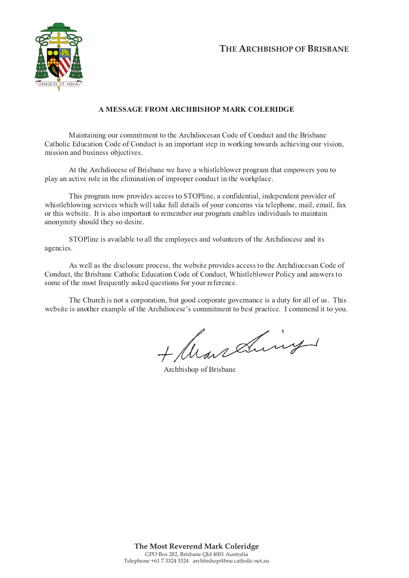

## A MESSAGE FROM ARCHBISHOP MARK COLERIDGE

Maintaining our commitment to the Archdiocesan Code of Conduct and the Brisbane Catholic Education Code of Conduct is an important step in working towards achieving our vision, mission and business objectives.

At the Archdiocese of Brisbane we have a whistleblower program that empowers you to play an active role in the elimination of improper conduct in the workplace.

This program now provides access to STOPline, a confidential, independent provider of whistleblowing services which will take full details of your concerns via telephone, mail, email, fax or this website. It is also important to remember our program enables individuals to maintain anonymity should they so desire.

STOPline is available to all the employees and volunteers of the Archdiocese and its agencies.

As well as the disclosure process, the website provides access to the Archdiocesan Code of Conduct, the Brisbane Catholic Education Code of Conduct, Whistleblower Policy and answers to some of the most frequently asked questions for your reference.

The Church is not a corporation, but good corporate governance is a duty for all of us. This website is another example of the Archdiocese's commitment to best practice. I commend it to you.

+ Marsains

Archbishop of Brisbane